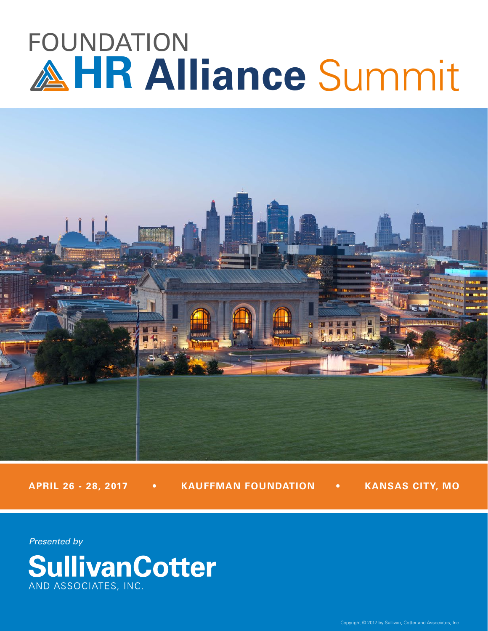# FOUNDATION **HR Alliance** Summit



**APRIL 26 - 28, 2017 • KAUFFMAN FOUNDATION • KANSAS CITY, MO**

*Presented by*

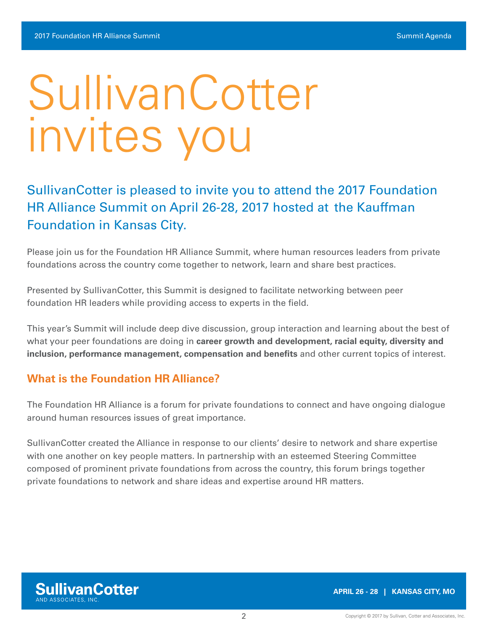# SullivanCotter invites you

# SullivanCotter is pleased to invite you to attend the 2017 Foundation HR Alliance Summit on April 26-28, 2017 hosted at the Kauffman Foundation in Kansas City.

Please join us for the Foundation HR Alliance Summit, where human resources leaders from private foundations across the country come together to network, learn and share best practices.

Presented by SullivanCotter, this Summit is designed to facilitate networking between peer foundation HR leaders while providing access to experts in the field.

This year's Summit will include deep dive discussion, group interaction and learning about the best of what your peer foundations are doing in **career growth and development, racial equity, diversity and inclusion, performance management, compensation and benefits** and other current topics of interest.

### **What is the Foundation HR Alliance?**

The Foundation HR Alliance is a forum for private foundations to connect and have ongoing dialogue around human resources issues of great importance.

SullivanCotter created the Alliance in response to our clients' desire to network and share expertise with one another on key people matters. In partnership with an esteemed Steering Committee composed of prominent private foundations from across the country, this forum brings together private foundations to network and share ideas and expertise around HR matters.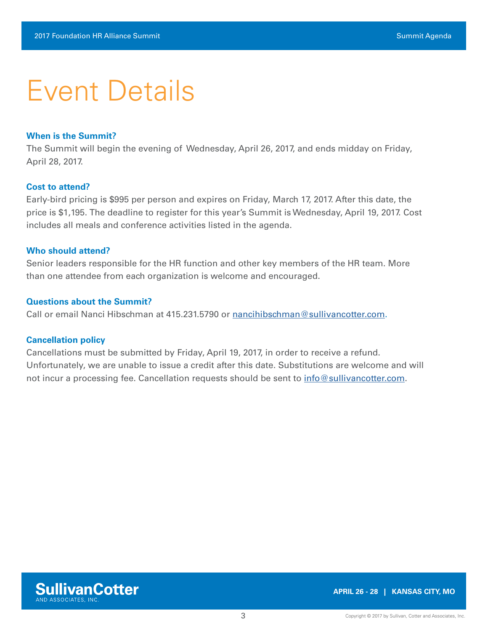# Event Details

#### **When is the Summit?**

The Summit will begin the evening of Wednesday, April 26, 2017, and ends midday on Friday, April 28, 2017.

#### **Cost to attend?**

Early-bird pricing is \$995 per person and expires on Friday, March 17, 2017. After this date, the price is \$1,195. The deadline to register for this year's Summit is Wednesday, April 19, 2017. Cost includes all meals and conference activities listed in the agenda.

#### **Who should attend?**

Senior leaders responsible for the HR function and other key members of the HR team. More than one attendee from each organization is welcome and encouraged.

#### **Questions about the Summit?**

Call or email Nanci Hibschman at 415.231.5790 or [nancihibschman@sullivancotter.com](mailto:nancihibschman%40sullivancotter.com?subject=Foundation%20HR%20Alliance%20Summit).

#### **Cancellation policy**

Cancellations must be submitted by Friday, April 19, 2017, in order to receive a refund. Unfortunately, we are unable to issue a credit after this date. Substitutions are welcome and will not incur a processing fee. Cancellation requests should be sent to [info@sullivancotter.com](mailto:%20info%40sullivancotter.com?subject=).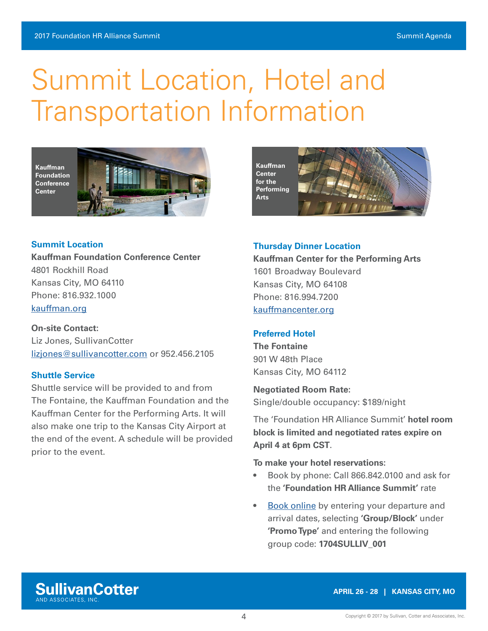# Summit Location, Hotel and Transportation Information



**Summit Location**

**Kauffman Foundation Conference Center** 4801 Rockhill Road Kansas City, MO 64110 Phone: 816.932.1000 [kauffman.org](http://kauffman.org)

#### **[On-site Contact:](http://dukeendowment.org/ )**

Liz Jones, SullivanCotter [lizjones@sullivancotter.com](mailto:lizjones%40sullivancotter.com?subject=) or 952.456.2105

#### **Shuttle Service**

Shuttle service will be provided to and from The Fontaine, the Kauffman Foundation and the Kauffman Center for the Performing Arts. It will also make one trip to the Kansas City Airport at the end of the event. A schedule will be provided prior to the event.



#### **Thursday Dinner Location**

**Kauffman Center for the Performing Arts** 1601 Broadway Boulevard Kansas City, MO 64108 Phone: 816.994.7200 [kauffmancenter.org](http://kauffmancenter.org)

#### **Preferred Hotel**

**The Fontaine** 901 W 48th Place Kansas City, MO 64112

**Negotiated Room Rate:** Single/double occupancy: \$189/night

The 'Foundation HR Alliance Summit' **hotel room block is limited and negotiated rates expire on April 4 at 6pm CST**.

**To make your hotel reservations:** 

- Book by phone: Call 866.842.0100 and ask for the **'Foundation HR Alliance Summit'** rate
- [Book online](http://thefontainehotel.com/) by entering your departure and arrival dates, selecting **'Group/Block'** under **'Promo Type'** and entering the following group code: **1704SULLIV\_001**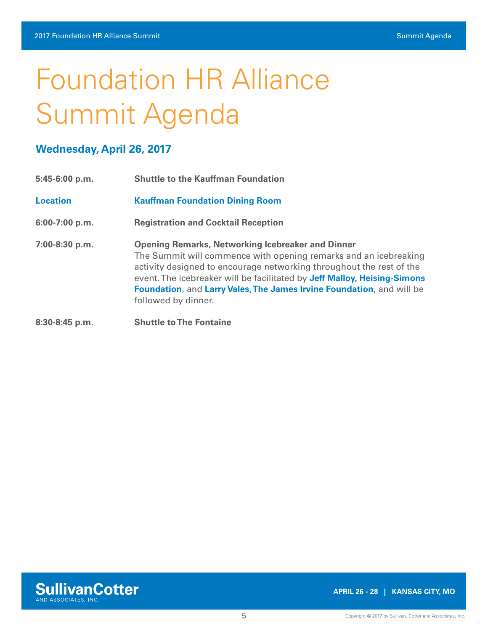# Foundation HR Alliance Summit Agenda

### **Wednesday, April 26, 2017**

| 5:45-6:00 p.m.  | <b>Shuttle to the Kauffman Foundation</b>                                                                                                                                                                                                                                                                                                                                        |
|-----------------|----------------------------------------------------------------------------------------------------------------------------------------------------------------------------------------------------------------------------------------------------------------------------------------------------------------------------------------------------------------------------------|
| <b>Location</b> | <b>Kauffman Foundation Dining Room</b>                                                                                                                                                                                                                                                                                                                                           |
| 6:00-7:00 p.m.  | <b>Registration and Cocktail Reception</b>                                                                                                                                                                                                                                                                                                                                       |
| 7:00-8:30 p.m.  | <b>Opening Remarks, Networking Icebreaker and Dinner</b><br>The Summit will commence with opening remarks and an icebreaking<br>activity designed to encourage networking throughout the rest of the<br>event. The icebreaker will be facilitated by Jeff Malloy, Heising-Simons<br>Foundation, and Larry Vales, The James Irvine Foundation, and will be<br>followed by dinner. |
| 8:30-8:45 p.m.  | <b>Shuttle to The Fontaine</b>                                                                                                                                                                                                                                                                                                                                                   |

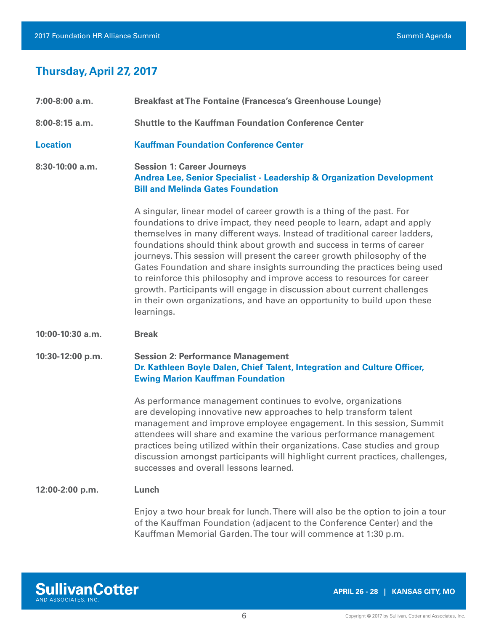## **Thursday, April 27, 2017**

| 7:00-8:00 a.m.   | <b>Breakfast at The Fontaine (Francesca's Greenhouse Lounge)</b>                                                                                                                                                                                                                                                                                                                                                                                                                                                                                                                                                                                                                                            |
|------------------|-------------------------------------------------------------------------------------------------------------------------------------------------------------------------------------------------------------------------------------------------------------------------------------------------------------------------------------------------------------------------------------------------------------------------------------------------------------------------------------------------------------------------------------------------------------------------------------------------------------------------------------------------------------------------------------------------------------|
| 8:00-8:15 a.m.   | <b>Shuttle to the Kauffman Foundation Conference Center</b>                                                                                                                                                                                                                                                                                                                                                                                                                                                                                                                                                                                                                                                 |
| <b>Location</b>  | <b>Kauffman Foundation Conference Center</b>                                                                                                                                                                                                                                                                                                                                                                                                                                                                                                                                                                                                                                                                |
| 8:30-10:00 a.m.  | <b>Session 1: Career Journeys</b><br><b>Andrea Lee, Senior Specialist - Leadership &amp; Organization Development</b><br><b>Bill and Melinda Gates Foundation</b>                                                                                                                                                                                                                                                                                                                                                                                                                                                                                                                                           |
|                  | A singular, linear model of career growth is a thing of the past. For<br>foundations to drive impact, they need people to learn, adapt and apply<br>themselves in many different ways. Instead of traditional career ladders,<br>foundations should think about growth and success in terms of career<br>journeys. This session will present the career growth philosophy of the<br>Gates Foundation and share insights surrounding the practices being used<br>to reinforce this philosophy and improve access to resources for career<br>growth. Participants will engage in discussion about current challenges<br>in their own organizations, and have an opportunity to build upon these<br>learnings. |
| 10:00-10:30 a.m. | <b>Break</b>                                                                                                                                                                                                                                                                                                                                                                                                                                                                                                                                                                                                                                                                                                |
| 10:30-12:00 p.m. | <b>Session 2: Performance Management</b><br>Dr. Kathleen Boyle Dalen, Chief Talent, Integration and Culture Officer,<br><b>Ewing Marion Kauffman Foundation</b>                                                                                                                                                                                                                                                                                                                                                                                                                                                                                                                                             |
|                  | As performance management continues to evolve, organizations<br>are developing innovative new approaches to help transform talent<br>management and improve employee engagement. In this session, Summit<br>attendees will share and examine the various performance management<br>practices being utilized within their organizations. Case studies and group<br>discussion amongst participants will highlight current practices, challenges,<br>successes and overall lessons learned.                                                                                                                                                                                                                   |
| 12:00-2:00 p.m.  | Lunch                                                                                                                                                                                                                                                                                                                                                                                                                                                                                                                                                                                                                                                                                                       |
|                  | Enjoy a two hour break for lunch. There will also be the option to join a tour<br>of the Kauffman Foundation (adjacent to the Conference Center) and the<br>Kauffman Memorial Garden. The tour will commence at 1:30 p.m.                                                                                                                                                                                                                                                                                                                                                                                                                                                                                   |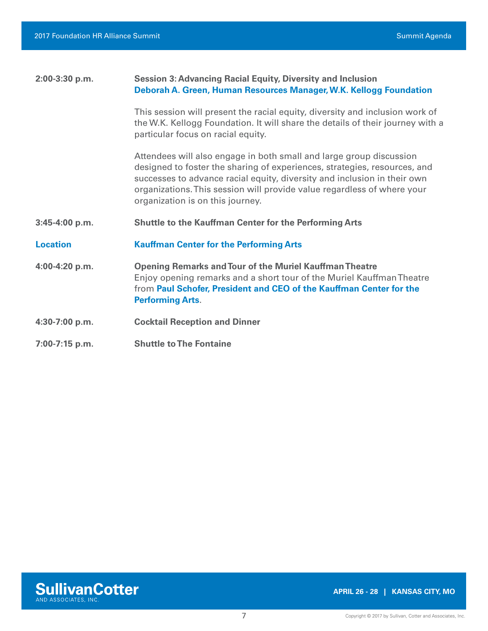| 2:00-3:30 p.m.  | <b>Session 3: Advancing Racial Equity, Diversity and Inclusion</b><br>Deborah A. Green, Human Resources Manager, W.K. Kellogg Foundation                                                                                                                                                                                                    |
|-----------------|---------------------------------------------------------------------------------------------------------------------------------------------------------------------------------------------------------------------------------------------------------------------------------------------------------------------------------------------|
|                 | This session will present the racial equity, diversity and inclusion work of<br>the W.K. Kellogg Foundation. It will share the details of their journey with a<br>particular focus on racial equity.                                                                                                                                        |
|                 | Attendees will also engage in both small and large group discussion<br>designed to foster the sharing of experiences, strategies, resources, and<br>successes to advance racial equity, diversity and inclusion in their own<br>organizations. This session will provide value regardless of where your<br>organization is on this journey. |
|                 |                                                                                                                                                                                                                                                                                                                                             |
| 3:45-4:00 p.m.  | <b>Shuttle to the Kauffman Center for the Performing Arts</b>                                                                                                                                                                                                                                                                               |
| <b>Location</b> | <b>Kauffman Center for the Performing Arts</b>                                                                                                                                                                                                                                                                                              |
| 4:00-4:20 p.m.  | <b>Opening Remarks and Tour of the Muriel Kauffman Theatre</b><br>Enjoy opening remarks and a short tour of the Muriel Kauffman Theatre<br>from Paul Schofer, President and CEO of the Kauffman Center for the<br><b>Performing Arts.</b>                                                                                                   |
| 4:30-7:00 p.m.  | <b>Cocktail Reception and Dinner</b>                                                                                                                                                                                                                                                                                                        |

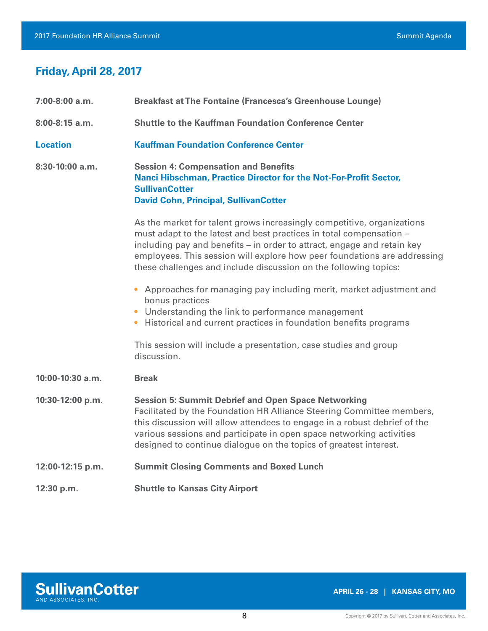## **Friday, April 28, 2017**

| 7:00-8:00 a.m.    | <b>Breakfast at The Fontaine (Francesca's Greenhouse Lounge)</b>                                                                                                                                                                                                                                                                                                         |
|-------------------|--------------------------------------------------------------------------------------------------------------------------------------------------------------------------------------------------------------------------------------------------------------------------------------------------------------------------------------------------------------------------|
| 8:00-8:15 a.m.    | <b>Shuttle to the Kauffman Foundation Conference Center</b>                                                                                                                                                                                                                                                                                                              |
| <b>Location</b>   | <b>Kauffman Foundation Conference Center</b>                                                                                                                                                                                                                                                                                                                             |
| $8:30-10:00$ a.m. | <b>Session 4: Compensation and Benefits</b><br>Nanci Hibschman, Practice Director for the Not-For-Profit Sector,<br><b>SullivanCotter</b><br><b>David Cohn, Principal, SullivanCotter</b>                                                                                                                                                                                |
|                   | As the market for talent grows increasingly competitive, organizations<br>must adapt to the latest and best practices in total compensation -<br>including pay and benefits - in order to attract, engage and retain key<br>employees. This session will explore how peer foundations are addressing<br>these challenges and include discussion on the following topics: |
|                   | Approaches for managing pay including merit, market adjustment and<br>bonus practices<br>Understanding the link to performance management<br>• Historical and current practices in foundation benefits programs                                                                                                                                                          |
|                   | This session will include a presentation, case studies and group<br>discussion.                                                                                                                                                                                                                                                                                          |
| 10:00-10:30 a.m.  | <b>Break</b>                                                                                                                                                                                                                                                                                                                                                             |
| 10:30-12:00 p.m.  | <b>Session 5: Summit Debrief and Open Space Networking</b><br>Facilitated by the Foundation HR Alliance Steering Committee members,<br>this discussion will allow attendees to engage in a robust debrief of the<br>various sessions and participate in open space networking activities<br>designed to continue dialogue on the topics of greatest interest.            |
| 12:00-12:15 p.m.  | <b>Summit Closing Comments and Boxed Lunch</b>                                                                                                                                                                                                                                                                                                                           |
| 12:30 p.m.        | <b>Shuttle to Kansas City Airport</b>                                                                                                                                                                                                                                                                                                                                    |